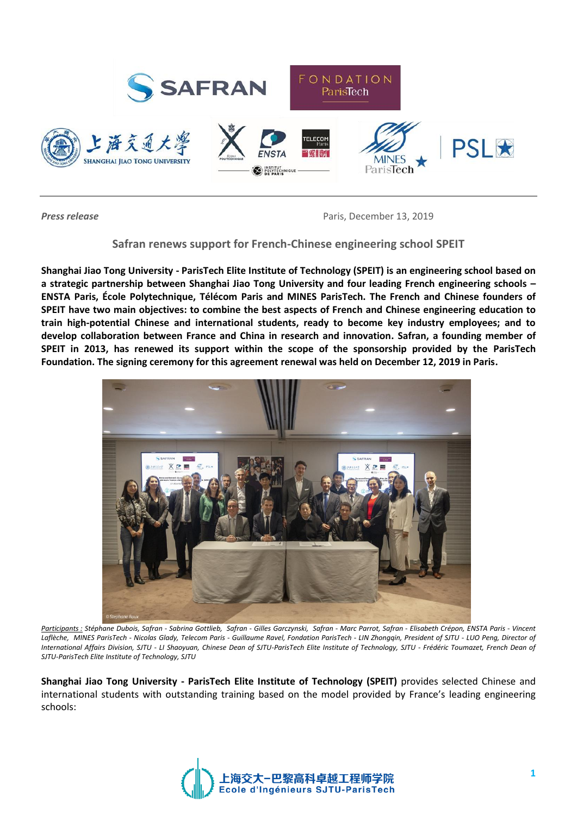

**Press release** Paris, December 13, 2019

# **Safran renews support for French-Chinese engineering school SPEIT**

**Shanghai Jiao Tong University - ParisTech Elite Institute of Technology (SPEIT) is an engineering school based on a strategic partnership between Shanghai Jiao Tong University and four leading French engineering schools – ENSTA Paris, École Polytechnique, Télécom Paris and MINES ParisTech. The French and Chinese founders of SPEIT have two main objectives: to combine the best aspects of French and Chinese engineering education to train high-potential Chinese and international students, ready to become key industry employees; and to develop collaboration between France and China in research and innovation. Safran, a founding member of SPEIT in 2013, has renewed its support within the scope of the sponsorship provided by the ParisTech Foundation. The signing ceremony for this agreement renewal was held on December 12, 2019 in Paris.**



*Participants : Stéphane Dubois, Safran - Sabrina Gottlieb, Safran - Gilles Garczynski, Safran - Marc Parrot, Safran - Elisabeth Crépon, ENSTA Paris - Vincent Laflèche, MINES ParisTech - Nicolas Glady, Telecom Paris - Guillaume Ravel, Fondation ParisTech - LIN Zhongqin, President of SJTU - LUO Peng, Director of International Affairs Division, SJTU - LI Shaoyuan, Chinese Dean of SJTU-ParisTech Elite Institute of Technology, SJTU - Frédéric Toumazet, French Dean of SJTU-ParisTech Elite Institute of Technology, SJTU*

**Shanghai Jiao Tong University - ParisTech Elite Institute of Technology (SPEIT)** provides selected Chinese and international students with outstanding training based on the model provided by France's leading engineering schools:

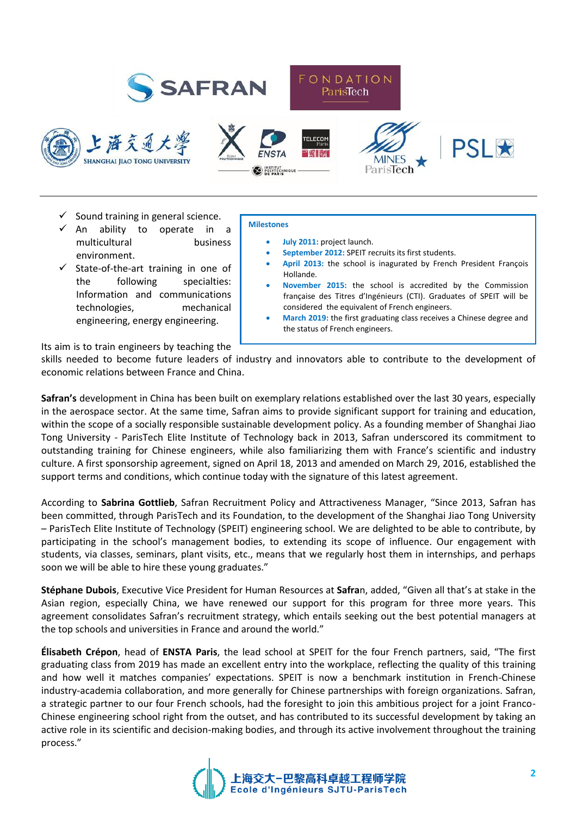











- $\checkmark$  Sound training in general science.
- An ability to operate in a multicultural business environment.
- State-of-the-art training in one of the following specialties: Information and communications technologies, mechanical engineering, energy engineering.

### **Milestones**

- **July 2011:** project launch.
- **September 2012:** SPEIT recruits its first students.
- **April 2013:** the school is inagurated by French President François Hollande.
- **November 2015:** the school is accredited by the Commission française des Titres d'Ingénieurs (CTI). Graduates of SPEIT will be considered the equivalent of French engineers.
- **March 2019:** the first graduating class receives a Chinese degree and the status of French engineers.

Its aim is to train engineers by teaching the

skills needed to become future leaders of industry and innovators able to contribute to the development of economic relations between France and China.

**Safran's** development in China has been built on exemplary relations established over the last 30 years, especially in the aerospace sector. At the same time, Safran aims to provide significant support for training and education, within the scope of a socially responsible sustainable development policy. As a founding member of Shanghai Jiao Tong University - ParisTech Elite Institute of Technology back in 2013, Safran underscored its commitment to outstanding training for Chinese engineers, while also familiarizing them with France's scientific and industry culture. A first sponsorship agreement, signed on April 18, 2013 and amended on March 29, 2016, established the support terms and conditions, which continue today with the signature of this latest agreement.

According to **Sabrina Gottlieb**, Safran Recruitment Policy and Attractiveness Manager, "Since 2013, Safran has been committed, through ParisTech and its Foundation, to the development of the Shanghai Jiao Tong University – ParisTech Elite Institute of Technology (SPEIT) engineering school. We are delighted to be able to contribute, by participating in the school's management bodies, to extending its scope of influence. Our engagement with students, via classes, seminars, plant visits, etc., means that we regularly host them in internships, and perhaps soon we will be able to hire these young graduates."

**Stéphane Dubois**, Executive Vice President for Human Resources at **Safra**n, added, "Given all that's at stake in the Asian region, especially China, we have renewed our support for this program for three more years. This agreement consolidates Safran's recruitment strategy, which entails seeking out the best potential managers at the top schools and universities in France and around the world."

**Élisabeth Crépon**, head of **ENSTA Paris**, the lead school at SPEIT for the four French partners, said, "The first graduating class from 2019 has made an excellent entry into the workplace, reflecting the quality of this training and how well it matches companies' expectations. SPEIT is now a benchmark institution in French-Chinese industry-academia collaboration, and more generally for Chinese partnerships with foreign organizations. Safran, a strategic partner to our four French schools, had the foresight to join this ambitious project for a joint Franco-Chinese engineering school right from the outset, and has contributed to its successful development by taking an active role in its scientific and decision-making bodies, and through its active involvement throughout the training process."